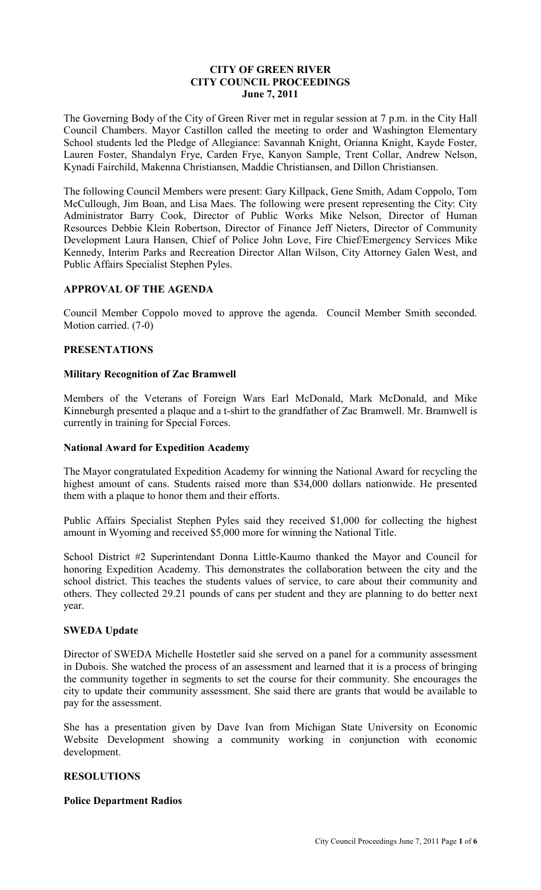## **CITY OF GREEN RIVER CITY COUNCIL PROCEEDINGS June 7, 2011**

The Governing Body of the City of Green River met in regular session at 7 p.m. in the City Hall Council Chambers. Mayor Castillon called the meeting to order and Washington Elementary School students led the Pledge of Allegiance: Savannah Knight, Orianna Knight, Kayde Foster, Lauren Foster, Shandalyn Frye, Carden Frye, Kanyon Sample, Trent Collar, Andrew Nelson, Kynadi Fairchild, Makenna Christiansen, Maddie Christiansen, and Dillon Christiansen.

The following Council Members were present: Gary Killpack, Gene Smith, Adam Coppolo, Tom McCullough, Jim Boan, and Lisa Maes. The following were present representing the City: City Administrator Barry Cook, Director of Public Works Mike Nelson, Director of Human Resources Debbie Klein Robertson, Director of Finance Jeff Nieters, Director of Community Development Laura Hansen, Chief of Police John Love, Fire Chief/Emergency Services Mike Kennedy, Interim Parks and Recreation Director Allan Wilson, City Attorney Galen West, and Public Affairs Specialist Stephen Pyles.

# **APPROVAL OF THE AGENDA**

Council Member Coppolo moved to approve the agenda. Council Member Smith seconded. Motion carried. (7-0)

#### **PRESENTATIONS**

### **Military Recognition of Zac Bramwell**

Members of the Veterans of Foreign Wars Earl McDonald, Mark McDonald, and Mike Kinneburgh presented a plaque and a t-shirt to the grandfather of Zac Bramwell. Mr. Bramwell is currently in training for Special Forces.

#### **National Award for Expedition Academy**

The Mayor congratulated Expedition Academy for winning the National Award for recycling the highest amount of cans. Students raised more than \$34,000 dollars nationwide. He presented them with a plaque to honor them and their efforts.

Public Affairs Specialist Stephen Pyles said they received \$1,000 for collecting the highest amount in Wyoming and received \$5,000 more for winning the National Title.

School District #2 Superintendant Donna Little-Kaumo thanked the Mayor and Council for honoring Expedition Academy. This demonstrates the collaboration between the city and the school district. This teaches the students values of service, to care about their community and others. They collected 29.21 pounds of cans per student and they are planning to do better next year.

## **SWEDA Update**

Director of SWEDA Michelle Hostetler said she served on a panel for a community assessment in Dubois. She watched the process of an assessment and learned that it is a process of bringing the community together in segments to set the course for their community. She encourages the city to update their community assessment. She said there are grants that would be available to pay for the assessment.

She has a presentation given by Dave Ivan from Michigan State University on Economic Website Development showing a community working in conjunction with economic development.

#### **RESOLUTIONS**

#### **Police Department Radios**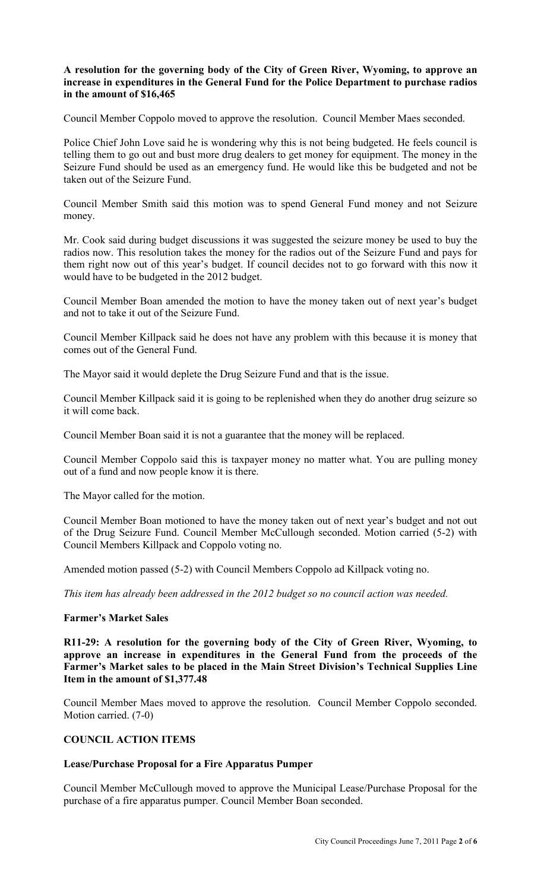## **A resolution for the governing body of the City of Green River, Wyoming, to approve an increase in expenditures in the General Fund for the Police Department to purchase radios in the amount of \$16,465**

Council Member Coppolo moved to approve the resolution. Council Member Maes seconded.

Police Chief John Love said he is wondering why this is not being budgeted. He feels council is telling them to go out and bust more drug dealers to get money for equipment. The money in the Seizure Fund should be used as an emergency fund. He would like this be budgeted and not be taken out of the Seizure Fund.

Council Member Smith said this motion was to spend General Fund money and not Seizure money.

Mr. Cook said during budget discussions it was suggested the seizure money be used to buy the radios now. This resolution takes the money for the radios out of the Seizure Fund and pays for them right now out of this year's budget. If council decides not to go forward with this now it would have to be budgeted in the 2012 budget.

Council Member Boan amended the motion to have the money taken out of next year's budget and not to take it out of the Seizure Fund.

Council Member Killpack said he does not have any problem with this because it is money that comes out of the General Fund.

The Mayor said it would deplete the Drug Seizure Fund and that is the issue.

Council Member Killpack said it is going to be replenished when they do another drug seizure so it will come back.

Council Member Boan said it is not a guarantee that the money will be replaced.

Council Member Coppolo said this is taxpayer money no matter what. You are pulling money out of a fund and now people know it is there.

The Mayor called for the motion.

Council Member Boan motioned to have the money taken out of next year's budget and not out of the Drug Seizure Fund. Council Member McCullough seconded. Motion carried (5-2) with Council Members Killpack and Coppolo voting no.

Amended motion passed (5-2) with Council Members Coppolo ad Killpack voting no.

*This item has already been addressed in the 2012 budget so no council action was needed.* 

### **Farmer's Market Sales**

**R11-29: A resolution for the governing body of the City of Green River, Wyoming, to approve an increase in expenditures in the General Fund from the proceeds of the Farmer's Market sales to be placed in the Main Street Division's Technical Supplies Line Item in the amount of \$1,377.48**

Council Member Maes moved to approve the resolution. Council Member Coppolo seconded. Motion carried. (7-0)

# **COUNCIL ACTION ITEMS**

#### **Lease/Purchase Proposal for a Fire Apparatus Pumper**

Council Member McCullough moved to approve the Municipal Lease/Purchase Proposal for the purchase of a fire apparatus pumper. Council Member Boan seconded.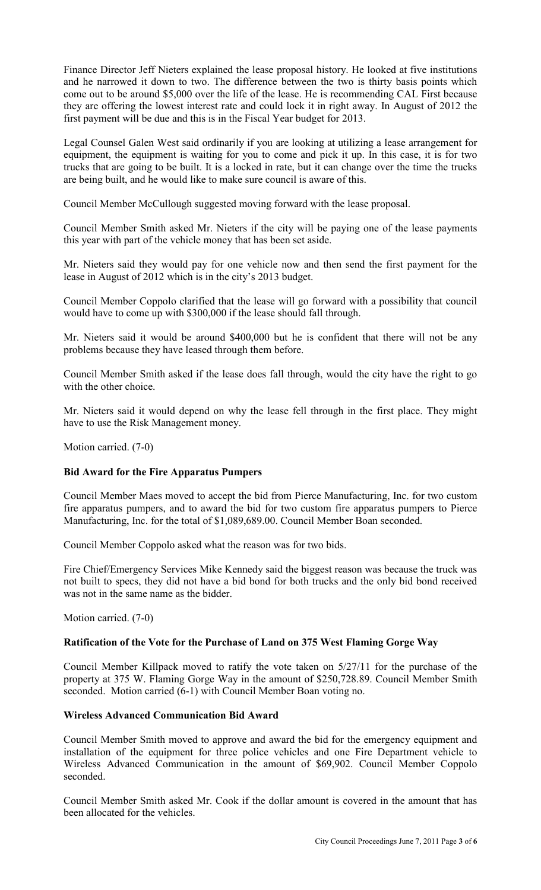Finance Director Jeff Nieters explained the lease proposal history. He looked at five institutions and he narrowed it down to two. The difference between the two is thirty basis points which come out to be around \$5,000 over the life of the lease. He is recommending CAL First because they are offering the lowest interest rate and could lock it in right away. In August of 2012 the first payment will be due and this is in the Fiscal Year budget for 2013.

Legal Counsel Galen West said ordinarily if you are looking at utilizing a lease arrangement for equipment, the equipment is waiting for you to come and pick it up. In this case, it is for two trucks that are going to be built. It is a locked in rate, but it can change over the time the trucks are being built, and he would like to make sure council is aware of this.

Council Member McCullough suggested moving forward with the lease proposal.

Council Member Smith asked Mr. Nieters if the city will be paying one of the lease payments this year with part of the vehicle money that has been set aside.

Mr. Nieters said they would pay for one vehicle now and then send the first payment for the lease in August of 2012 which is in the city's 2013 budget.

Council Member Coppolo clarified that the lease will go forward with a possibility that council would have to come up with \$300,000 if the lease should fall through.

Mr. Nieters said it would be around \$400,000 but he is confident that there will not be any problems because they have leased through them before.

Council Member Smith asked if the lease does fall through, would the city have the right to go with the other choice.

Mr. Nieters said it would depend on why the lease fell through in the first place. They might have to use the Risk Management money.

Motion carried. (7-0)

### **Bid Award for the Fire Apparatus Pumpers**

Council Member Maes moved to accept the bid from Pierce Manufacturing, Inc. for two custom fire apparatus pumpers, and to award the bid for two custom fire apparatus pumpers to Pierce Manufacturing, Inc. for the total of \$1,089,689.00. Council Member Boan seconded.

Council Member Coppolo asked what the reason was for two bids.

Fire Chief/Emergency Services Mike Kennedy said the biggest reason was because the truck was not built to specs, they did not have a bid bond for both trucks and the only bid bond received was not in the same name as the bidder.

Motion carried. (7-0)

### **Ratification of the Vote for the Purchase of Land on 375 West Flaming Gorge Way**

Council Member Killpack moved to ratify the vote taken on 5/27/11 for the purchase of the property at 375 W. Flaming Gorge Way in the amount of \$250,728.89. Council Member Smith seconded. Motion carried (6-1) with Council Member Boan voting no.

# **Wireless Advanced Communication Bid Award**

Council Member Smith moved to approve and award the bid for the emergency equipment and installation of the equipment for three police vehicles and one Fire Department vehicle to Wireless Advanced Communication in the amount of \$69,902. Council Member Coppolo seconded.

Council Member Smith asked Mr. Cook if the dollar amount is covered in the amount that has been allocated for the vehicles.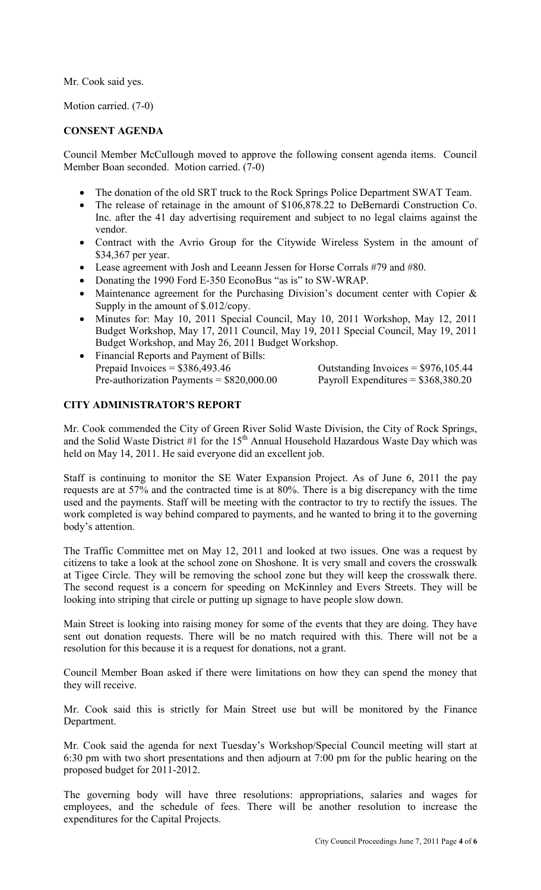Mr. Cook said yes.

Motion carried. (7-0)

# **CONSENT AGENDA**

Council Member McCullough moved to approve the following consent agenda items. Council Member Boan seconded. Motion carried. (7-0)

- The donation of the old SRT truck to the Rock Springs Police Department SWAT Team.
- The release of retainage in the amount of \$106,878.22 to DeBernardi Construction Co. Inc. after the 41 day advertising requirement and subject to no legal claims against the vendor.
- Contract with the Avrio Group for the Citywide Wireless System in the amount of \$34,367 per year.
- Lease agreement with Josh and Leeann Jessen for Horse Corrals #79 and #80.
- Donating the 1990 Ford E-350 EconoBus "as is" to SW-WRAP.
- Maintenance agreement for the Purchasing Division's document center with Copier & Supply in the amount of \$.012/copy.
- Minutes for: May 10, 2011 Special Council, May 10, 2011 Workshop, May 12, 2011 Budget Workshop, May 17, 2011 Council, May 19, 2011 Special Council, May 19, 2011 Budget Workshop, and May 26, 2011 Budget Workshop.
- Financial Reports and Payment of Bills: Prepaid Invoices =  $$386,493.46$  Outstanding Invoices =  $$976,105.44$ Pre-authorization Payments = \$820,000.00 Payroll Expenditures = \$368,380.20

# **CITY ADMINISTRATOR'S REPORT**

Mr. Cook commended the City of Green River Solid Waste Division, the City of Rock Springs, and the Solid Waste District #1 for the  $15<sup>th</sup>$  Annual Household Hazardous Waste Day which was held on May 14, 2011. He said everyone did an excellent job.

Staff is continuing to monitor the SE Water Expansion Project. As of June 6, 2011 the pay requests are at 57% and the contracted time is at 80%. There is a big discrepancy with the time used and the payments. Staff will be meeting with the contractor to try to rectify the issues. The work completed is way behind compared to payments, and he wanted to bring it to the governing body's attention.

The Traffic Committee met on May 12, 2011 and looked at two issues. One was a request by citizens to take a look at the school zone on Shoshone. It is very small and covers the crosswalk at Tigee Circle. They will be removing the school zone but they will keep the crosswalk there. The second request is a concern for speeding on McKinnley and Evers Streets. They will be looking into striping that circle or putting up signage to have people slow down.

Main Street is looking into raising money for some of the events that they are doing. They have sent out donation requests. There will be no match required with this. There will not be a resolution for this because it is a request for donations, not a grant.

Council Member Boan asked if there were limitations on how they can spend the money that they will receive.

Mr. Cook said this is strictly for Main Street use but will be monitored by the Finance Department.

Mr. Cook said the agenda for next Tuesday's Workshop/Special Council meeting will start at 6:30 pm with two short presentations and then adjourn at 7:00 pm for the public hearing on the proposed budget for 2011-2012.

The governing body will have three resolutions: appropriations, salaries and wages for employees, and the schedule of fees. There will be another resolution to increase the expenditures for the Capital Projects.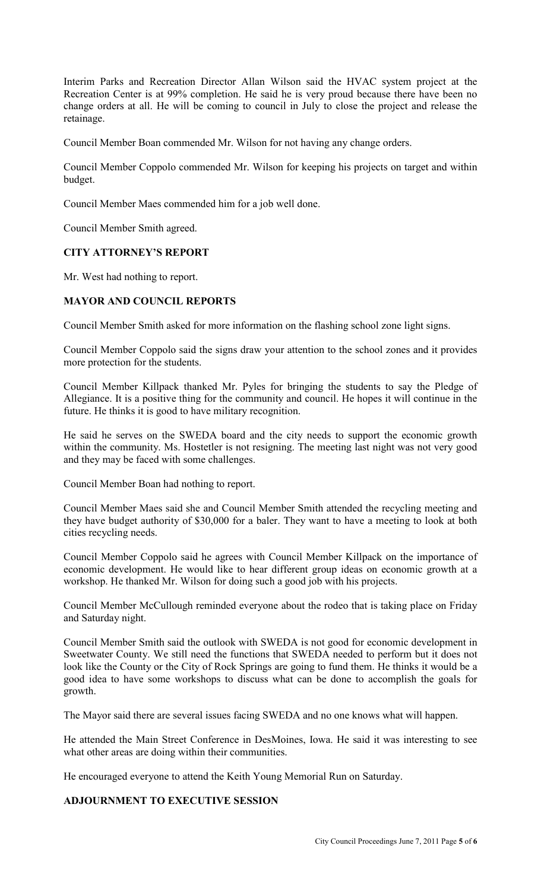Interim Parks and Recreation Director Allan Wilson said the HVAC system project at the Recreation Center is at 99% completion. He said he is very proud because there have been no change orders at all. He will be coming to council in July to close the project and release the retainage.

Council Member Boan commended Mr. Wilson for not having any change orders.

Council Member Coppolo commended Mr. Wilson for keeping his projects on target and within budget.

Council Member Maes commended him for a job well done.

Council Member Smith agreed.

### **CITY ATTORNEY'S REPORT**

Mr. West had nothing to report.

### **MAYOR AND COUNCIL REPORTS**

Council Member Smith asked for more information on the flashing school zone light signs.

Council Member Coppolo said the signs draw your attention to the school zones and it provides more protection for the students.

Council Member Killpack thanked Mr. Pyles for bringing the students to say the Pledge of Allegiance. It is a positive thing for the community and council. He hopes it will continue in the future. He thinks it is good to have military recognition.

He said he serves on the SWEDA board and the city needs to support the economic growth within the community. Ms. Hostetler is not resigning. The meeting last night was not very good and they may be faced with some challenges.

Council Member Boan had nothing to report.

Council Member Maes said she and Council Member Smith attended the recycling meeting and they have budget authority of \$30,000 for a baler. They want to have a meeting to look at both cities recycling needs.

Council Member Coppolo said he agrees with Council Member Killpack on the importance of economic development. He would like to hear different group ideas on economic growth at a workshop. He thanked Mr. Wilson for doing such a good job with his projects.

Council Member McCullough reminded everyone about the rodeo that is taking place on Friday and Saturday night.

Council Member Smith said the outlook with SWEDA is not good for economic development in Sweetwater County. We still need the functions that SWEDA needed to perform but it does not look like the County or the City of Rock Springs are going to fund them. He thinks it would be a good idea to have some workshops to discuss what can be done to accomplish the goals for growth.

The Mayor said there are several issues facing SWEDA and no one knows what will happen.

He attended the Main Street Conference in DesMoines, Iowa. He said it was interesting to see what other areas are doing within their communities.

He encouraged everyone to attend the Keith Young Memorial Run on Saturday.

### **ADJOURNMENT TO EXECUTIVE SESSION**